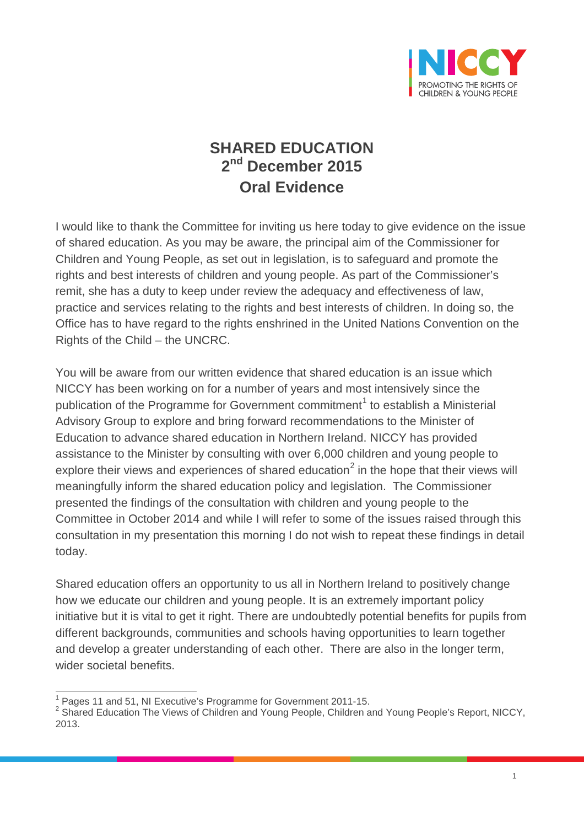

## **SHARED EDUCATION 2nd December 2015 Oral Evidence**

I would like to thank the Committee for inviting us here today to give evidence on the issue of shared education. As you may be aware, the principal aim of the Commissioner for Children and Young People, as set out in legislation, is to safeguard and promote the rights and best interests of children and young people. As part of the Commissioner's remit, she has a duty to keep under review the adequacy and effectiveness of law, practice and services relating to the rights and best interests of children. In doing so, the Office has to have regard to the rights enshrined in the United Nations Convention on the Rights of the Child – the UNCRC.

You will be aware from our written evidence that shared education is an issue which NICCY has been working on for a number of years and most intensively since the publication of the Programme for Government commitment<sup>[1](#page-0-0)</sup> to establish a Ministerial Advisory Group to explore and bring forward recommendations to the Minister of Education to advance shared education in Northern Ireland. NICCY has provided assistance to the Minister by consulting with over 6,000 children and young people to explore their views and experiences of shared education<sup>[2](#page-0-1)</sup> in the hope that their views will meaningfully inform the shared education policy and legislation. The Commissioner presented the findings of the consultation with children and young people to the Committee in October 2014 and while I will refer to some of the issues raised through this consultation in my presentation this morning I do not wish to repeat these findings in detail today.

Shared education offers an opportunity to us all in Northern Ireland to positively change how we educate our children and young people. It is an extremely important policy initiative but it is vital to get it right. There are undoubtedly potential benefits for pupils from different backgrounds, communities and schools having opportunities to learn together and develop a greater understanding of each other. There are also in the longer term, wider societal benefits.

<span id="page-0-0"></span><sup>1</sup> Pages 11 and 51, NI Executive's Programme for Government 2011-15.

<span id="page-0-1"></span><sup>&</sup>lt;sup>2</sup> Shared Education The Views of Children and Young People, Children and Young People's Report, NICCY, 2013.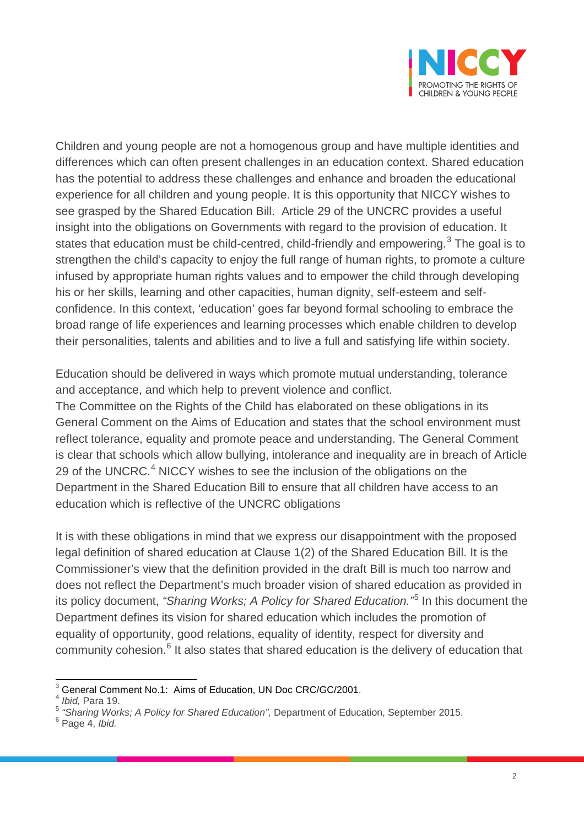

Children and young people are not a homogenous group and have multiple identities and differences which can often present challenges in an education context. Shared education has the potential to address these challenges and enhance and broaden the educational experience for all children and young people. It is this opportunity that NICCY wishes to see grasped by the Shared Education Bill. Article 29 of the UNCRC provides a useful insight into the obligations on Governments with regard to the provision of education. It states that education must be child-centred, child-friendly and empowering.<sup>[3](#page-1-0)</sup> The goal is to strengthen the child's capacity to enjoy the full range of human rights, to promote a culture infused by appropriate human rights values and to empower the child through developing his or her skills, learning and other capacities, human dignity, self-esteem and selfconfidence. In this context, 'education' goes far beyond formal schooling to embrace the broad range of life experiences and learning processes which enable children to develop their personalities, talents and abilities and to live a full and satisfying life within society.

Education should be delivered in ways which promote mutual understanding, tolerance and acceptance, and which help to prevent violence and conflict.

The Committee on the Rights of the Child has elaborated on these obligations in its General Comment on the Aims of Education and states that the school environment must reflect tolerance, equality and promote peace and understanding. The General Comment is clear that schools which allow bullying, intolerance and inequality are in breach of Article 29 of the UNCRC.<sup>[4](#page-1-1)</sup> NICCY wishes to see the inclusion of the obligations on the Department in the Shared Education Bill to ensure that all children have access to an education which is reflective of the UNCRC obligations

It is with these obligations in mind that we express our disappointment with the proposed legal definition of shared education at Clause 1(2) of the Shared Education Bill. It is the Commissioner's view that the definition provided in the draft Bill is much too narrow and does not reflect the Department's much broader vision of shared education as provided in its policy document, *"Sharing Works; A Policy for Shared Education."*[5](#page-1-2) In this document the Department defines its vision for shared education which includes the promotion of equality of opportunity, good relations, equality of identity, respect for diversity and community cohesion.<sup>[6](#page-1-3)</sup> It also states that shared education is the delivery of education that

<span id="page-1-0"></span><sup>&</sup>lt;sup>3</sup> General Comment No.1: Aims of Education, UN Doc CRC/GC/2001.

<sup>4</sup> *Ibid,* Para 19.

<span id="page-1-2"></span><span id="page-1-1"></span><sup>&</sup>lt;sup>5</sup> "Sharing Works; A Policy for Shared Education", Department of Education, September 2015.<br><sup>6</sup> Page 4, *Ibid.* 

<span id="page-1-3"></span>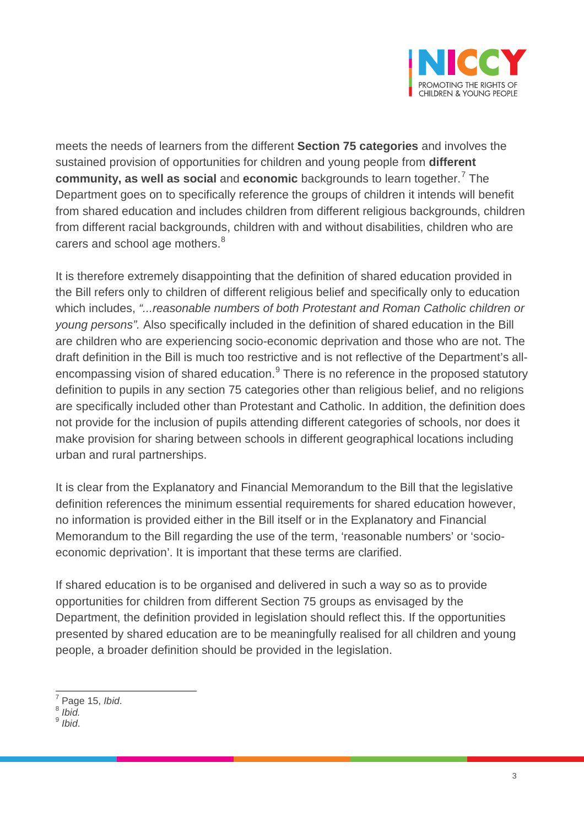

meets the needs of learners from the different **Section 75 categories** and involves the sustained provision of opportunities for children and young people from **different community, as well as social** and **economic** backgrounds to learn together.[7](#page-2-0) The Department goes on to specifically reference the groups of children it intends will benefit from shared education and includes children from different religious backgrounds, children from different racial backgrounds, children with and without disabilities, children who are carers and school age mothers.<sup>[8](#page-2-1)</sup>

It is therefore extremely disappointing that the definition of shared education provided in the Bill refers only to children of different religious belief and specifically only to education which includes, *"...reasonable numbers of both Protestant and Roman Catholic children or young persons".* Also specifically included in the definition of shared education in the Bill are children who are experiencing socio-economic deprivation and those who are not. The draft definition in the Bill is much too restrictive and is not reflective of the Department's all-encompassing vision of shared education.<sup>[9](#page-2-2)</sup> There is no reference in the proposed statutory definition to pupils in any section 75 categories other than religious belief, and no religions are specifically included other than Protestant and Catholic. In addition, the definition does not provide for the inclusion of pupils attending different categories of schools, nor does it make provision for sharing between schools in different geographical locations including urban and rural partnerships.

It is clear from the Explanatory and Financial Memorandum to the Bill that the legislative definition references the minimum essential requirements for shared education however, no information is provided either in the Bill itself or in the Explanatory and Financial Memorandum to the Bill regarding the use of the term, 'reasonable numbers' or 'socioeconomic deprivation'. It is important that these terms are clarified.

If shared education is to be organised and delivered in such a way so as to provide opportunities for children from different Section 75 groups as envisaged by the Department, the definition provided in legislation should reflect this. If the opportunities presented by shared education are to be meaningfully realised for all children and young people, a broader definition should be provided in the legislation.

<span id="page-2-0"></span> $^7$  Page 15, *Ibid.* 8 *Ibid.* 

<span id="page-2-2"></span><span id="page-2-1"></span><sup>9</sup> *Ibid*.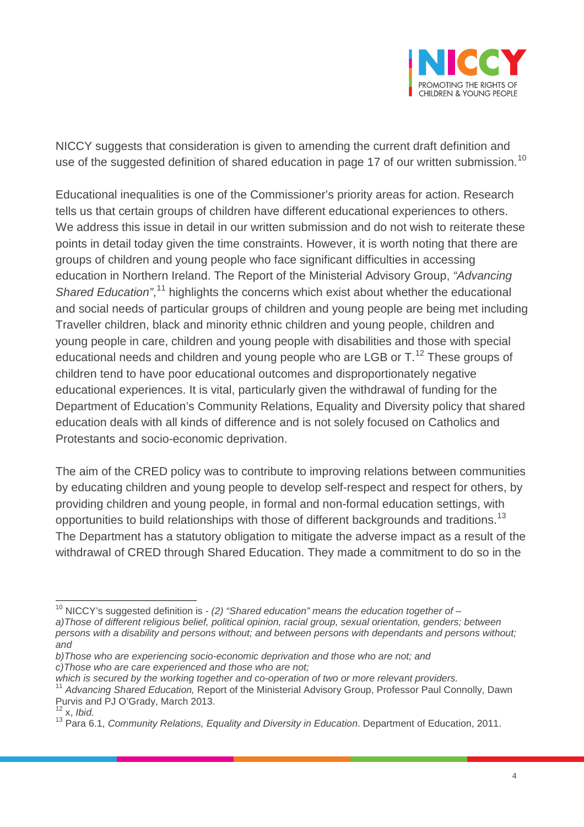

NICCY suggests that consideration is given to amending the current draft definition and use of the suggested definition of shared education in page 17 of our written submission.<sup>[10](#page-3-0)</sup>

Educational inequalities is one of the Commissioner's priority areas for action. Research tells us that certain groups of children have different educational experiences to others. We address this issue in detail in our written submission and do not wish to reiterate these points in detail today given the time constraints. However, it is worth noting that there are groups of children and young people who face significant difficulties in accessing education in Northern Ireland. The Report of the Ministerial Advisory Group, *"Advancing*  Shared Education",<sup>[11](#page-3-1)</sup> highlights the concerns which exist about whether the educational and social needs of particular groups of children and young people are being met including Traveller children, black and minority ethnic children and young people, children and young people in care, children and young people with disabilities and those with special educational needs and children and young people who are LGB or  $T<sup>12</sup>$  $T<sup>12</sup>$  $T<sup>12</sup>$  These groups of children tend to have poor educational outcomes and disproportionately negative educational experiences. It is vital, particularly given the withdrawal of funding for the Department of Education's Community Relations, Equality and Diversity policy that shared education deals with all kinds of difference and is not solely focused on Catholics and Protestants and socio-economic deprivation.

The aim of the CRED policy was to contribute to improving relations between communities by educating children and young people to develop self-respect and respect for others, by providing children and young people, in formal and non-formal education settings, with opportunities to build relationships with those of different backgrounds and traditions.<sup>[13](#page-3-3)</sup> The Department has a statutory obligation to mitigate the adverse impact as a result of the withdrawal of CRED through Shared Education. They made a commitment to do so in the

*c)Those who are care experienced and those who are not;*

<span id="page-3-0"></span><sup>10</sup> NICCY's suggested definition is - *(2) "Shared education" means the education together of – a)Those of different religious belief, political opinion, racial group, sexual orientation, genders; between persons with a disability and persons without; and between persons with dependants and persons without; and*

*b)Those who are experiencing socio-economic deprivation and those who are not; and* 

<span id="page-3-1"></span><sup>&</sup>lt;sup>11</sup> Advancing Shared Education, Report of the Ministerial Advisory Group, Professor Paul Connolly, Dawn Purvis and PJ O'Grady, March 2013.

<span id="page-3-2"></span> $12^{\circ}$  x, *Ibid.* 

<span id="page-3-3"></span><sup>13</sup> Para 6.1, *Community Relations, Equality and Diversity in Education*. Department of Education, 2011.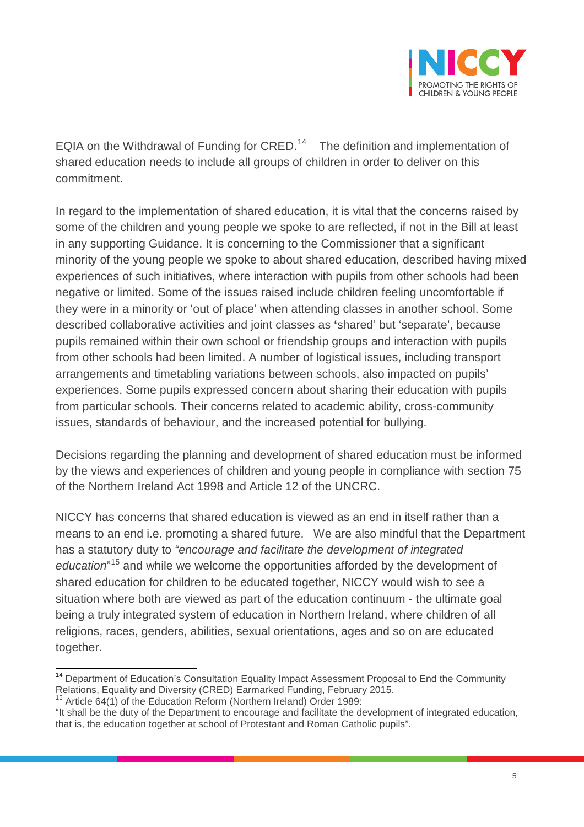

EQIA on the Withdrawal of Funding for CRED.<sup>[14](#page-4-0)</sup> The definition and implementation of shared education needs to include all groups of children in order to deliver on this commitment.

In regard to the implementation of shared education, it is vital that the concerns raised by some of the children and young people we spoke to are reflected, if not in the Bill at least in any supporting Guidance. It is concerning to the Commissioner that a significant minority of the young people we spoke to about shared education, described having mixed experiences of such initiatives, where interaction with pupils from other schools had been negative or limited. Some of the issues raised include children feeling uncomfortable if they were in a minority or 'out of place' when attending classes in another school. Some described collaborative activities and joint classes as **'**shared' but 'separate', because pupils remained within their own school or friendship groups and interaction with pupils from other schools had been limited. A number of logistical issues, including transport arrangements and timetabling variations between schools, also impacted on pupils' experiences. Some pupils expressed concern about sharing their education with pupils from particular schools. Their concerns related to academic ability, cross-community issues, standards of behaviour, and the increased potential for bullying.

Decisions regarding the planning and development of shared education must be informed by the views and experiences of children and young people in compliance with section 75 of the Northern Ireland Act 1998 and Article 12 of the UNCRC.

NICCY has concerns that shared education is viewed as an end in itself rather than a means to an end i.e. promoting a shared future. We are also mindful that the Department has a statutory duty to *"encourage and facilitate the development of integrated*  education<sup>"[15](#page-4-1)</sup> and while we welcome the opportunities afforded by the development of shared education for children to be educated together, NICCY would wish to see a situation where both are viewed as part of the education continuum - the ultimate goal being a truly integrated system of education in Northern Ireland, where children of all religions, races, genders, abilities, sexual orientations, ages and so on are educated together.

<span id="page-4-0"></span><sup>&</sup>lt;sup>14</sup> Department of Education's Consultation Equality Impact Assessment Proposal to End the Community Relations, Equality and Diversity (CRED) Earmarked Funding, February 2015.

Article 64(1) of the Education Reform (Northern Ireland) Order 1989:

<span id="page-4-1"></span><sup>&</sup>quot;It shall be the duty of the Department to encourage and facilitate the development of integrated education, that is, the education together at school of Protestant and Roman Catholic pupils".